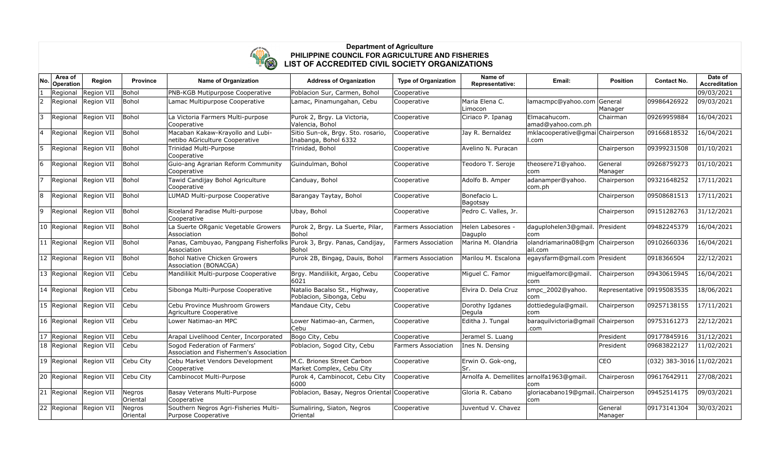

## **Department of Agriculture PHILIPPINE COUNCIL FOR AGRICULTURE AND FISHERIES LIST OF ACCREDITED CIVIL SOCIETY ORGANIZATIONS**

| No. | Area of<br>Operation | Region                 | Province           | <b>Name of Organization</b>                                                          | <b>Address of Organization</b>                            | <b>Type of Organization</b> | Name of<br>Representative:               | Email:                                      | <b>Position</b>    | <b>Contact No.</b>        | Date of<br><b>Accreditation</b> |
|-----|----------------------|------------------------|--------------------|--------------------------------------------------------------------------------------|-----------------------------------------------------------|-----------------------------|------------------------------------------|---------------------------------------------|--------------------|---------------------------|---------------------------------|
|     | Regional             | Region VII             | Bohol              | PNB-KGB Mutipurpose Cooperative                                                      | Poblacion Sur, Carmen, Bohol                              | Cooperative                 |                                          |                                             |                    |                           | 09/03/2021                      |
| 2   | Regional             | Region VII             | Bohol              | Lamac Multipurpose Cooperative                                                       | Lamac, Pinamungahan, Cebu                                 | Cooperative                 | Maria Elena C.<br>Limocon                | lamacmpc@yahoo.com General                  | Manager            | 09986426922               | 09/03/2021                      |
| 3   | Regional             | Region VII             | Bohol              | La Victoria Farmers Multi-purpose<br>Cooperative                                     | Purok 2, Brgy. La Victoria,<br>Valencia, Bohol            | Cooperative                 | Ciriaco P. Ipanag                        | Elmacahucom.<br>amad@yahoo.com.ph           | Chairman           | 09269959884               | 16/04/2021                      |
|     | Regional             | Region VII             | Bohol              | Macaban Kakaw-Krayollo and Lubi-<br>netibo AGriculture Cooperative                   | Sitio Sun-ok, Brgy. Sto. rosario,<br>Inabanga, Bohol 6332 | Cooperative                 | Jay R. Bernaldez                         | mklacooperative@gmai Chairperson<br>ll.com  |                    | 09166818532               | 16/04/2021                      |
| 5.  | Regional             | Region VII             | Bohol              | Trinidad Multi-Purpose<br>Cooperative                                                | Trinidad, Bohol                                           | Cooperative                 | Avelino N. Puracan                       |                                             | Chairperson        | 09399231508               | 01/10/2021                      |
| 6   | Regional             | Region VII             | Bohol              | Guio-ang Agrarian Reform Community<br>Cooperative                                    | Guindulman, Bohol                                         | Cooperative                 | Teodoro T. Seroje                        | theosere71@yahoo.<br>com                    | General<br>Manager | 09268759273               | 01/10/2021                      |
|     |                      | Regional Region VII    | Bohol              | Tawid Candijay Bohol Agriculture<br>Cooperative                                      | Canduay, Bohol                                            | Cooperative                 | Adolfo B. Amper                          | adanamper@yahoo.<br>com.ph                  | Chairperson        | 09321648252               | 17/11/2021                      |
| 8   | Regional             | Region VII             | Bohol              | LUMAD Multi-purpose Cooperative                                                      | Barangay Taytay, Bohol                                    | Cooperative                 | Bonefacio L.<br>Bagotsay                 |                                             | Chairperson        | 09508681513               | 17/11/2021                      |
| 9   | Regional             | Region VII             | Bohol              | Riceland Paradise Multi-purpose<br>Cooperative                                       | Ubay, Bohol                                               | Cooperative                 | Pedro C. Valles, Jr.                     |                                             | Chairperson        | 09151282763               | 31/12/2021                      |
|     | 10 Regional          | Region VII             | Bohol              | La Suerte ORganic Vegetable Growers<br>Association                                   | Purok 2, Brgy. La Suerte, Pilar,<br>Bohol                 | Farmers Association         | Helen Labesores -<br>Daguplo             | daguplohelen3@gmail. President<br>com       |                    | 09482245379               | 16/04/2021                      |
|     | 11 Regional          | Region VII             | Bohol              | Panas, Cambuyao, Pangpang Fisherfolks Purok 3, Brgy. Panas, Candijay,<br>Association | Bohol                                                     | <b>Farmers Association</b>  | Marina M. Olandria                       | olandriamarina08@gm Chairperson<br>lail.com |                    | 09102660336               | 16/04/2021                      |
|     | 12 Regional          | Region VII             | Bohol              | Bohol Native Chicken Growers<br>Association (BONACGA)                                | Purok 2B, Bingag, Dauis, Bohol                            | <b>Farmers Association</b>  | Marilou M. Escalona                      | egaysfarm@gmail.com President               |                    | 0918366504                | 22/12/2021                      |
|     | 13 Regional          | Region VII             | Cebu               | Mandilikit Multi-purpose Cooperative                                                 | Brgy. Mandilikit, Argao, Cebu<br>6021                     | Cooperative                 | Miguel C. Famor                          | miquelfamorc@qmail.<br>lcom.                | Chairperson        | 09430615945               | 16/04/2021                      |
|     | 14 Regional          | Region VII             | Cebu               | Sibonga Multi-Purpose Cooperative                                                    | Natalio Bacalso St., Highway,<br>Poblacion, Sibonga, Cebu | Cooperative                 | Elvira D. Dela Cruz                      | smpc_2002@yahoo.<br>com                     | Representative     | 09195083535               | 18/06/2021                      |
|     |                      | 15 Regional Region VII | Cebu               | Cebu Province Mushroom Growers<br>Agriculture Cooperative                            | Mandaue City, Cebu                                        | Cooperative                 | Dorothy Igdanes<br>Degula                | dottiedegula@gmail.<br>com                  | Chairperson        | 09257138155               | 17/11/2021                      |
|     | 16 Regional          | Region VII             | Cebu               | Lower Natimao-an MPC                                                                 | Lower Natimao-an, Carmen,<br>Cebu                         | Cooperative                 | Editha J. Tungal                         | baraquilvictoria@gmail Chairperson<br>.com  |                    | 09753161273               | 22/12/2021                      |
|     | 17 Regional          | Region VII             | Cebu               | Arapal Livelihood Center, Incorporated                                               | Bogo City, Cebu                                           | Cooperative                 | Jeramel S. Luang                         |                                             | President          | 09177845916               | 31/12/2021                      |
|     | 18 Regional          | Region VII             | Cebu               | Sogod Federation of Farmers'<br>Association and Fishermen's Association              | Poblacion, Sogod City, Cebu                               | <b>Farmers Association</b>  | Ines N. Densing                          |                                             | President          | 09683822127               | 11/02/2021                      |
|     | 19 Regional          | Region VII             | Cebu City          | Cebu Market Vendors Development<br>Cooperative                                       | M.C. Briones Street Carbon<br>Market Complex, Cebu City   | Cooperative                 | Erwin O. Gok-ong,<br>Sr.                 |                                             | CEO                | (032) 383-3016 11/02/2021 |                                 |
|     | 20 Regional          | Region VII             | Cebu City          | Cambinocot Multi-Purpose                                                             | Purok 4, Cambinocot, Cebu City<br>6000                    | Cooperative                 | Arnolfa A. Demellites arnolfa1963@gmail. | com                                         | Chairperosn        | 09617642911               | 27/08/2021                      |
|     | 21 Regional          | Region VII             | Negros<br>Oriental | Basay Veterans Multi-Purpose<br>Cooperative                                          | Poblacion, Basay, Negros Oriental Cooperative             |                             | Gloria R. Cabano                         | gloriacabano19@gmail.<br>com                | Chairperson        | 09452514175               | 09/03/2021                      |
|     | 22 Regional          | Region VII             | Negros<br>Oriental | Southern Negros Agri-Fisheries Multi-<br>Purpose Cooperative                         | Sumaliring, Siaton, Negros<br>Oriental                    | Cooperative                 | Juventud V. Chavez                       |                                             | General<br>Manager | 09173141304               | 30/03/2021                      |